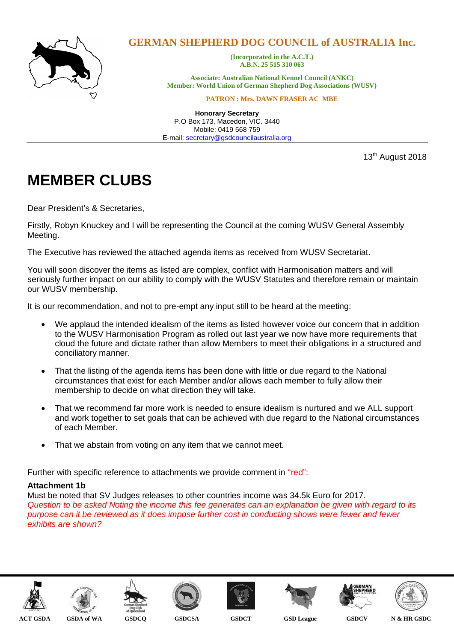

# **GERMAN SHEPHERD DOG COUNCIL of AUSTRALIA Inc.**

**(Incorporated in the A.C.T.) A.B.N. 25 515 310 063**

**Associate: Australian National Kennel Council (ANKC) Member: World Union of German Shepherd Dog Associations (WUSV)**

**PATRON : Mrs. DAWN FRASER AC MBE**

**Honorary Secretary** P.O Box 173, Macedon, VIC. 3440 Mobile: 0419 568 759 E-mail: [secretary@gsdcouncilaustralia.org](mailto:secretary@gsdcouncilaustralia.org)

13<sup>th</sup> August 2018

# **MEMBER CLUBS**

Dear President's & Secretaries,

Firstly, Robyn Knuckey and I will be representing the Council at the coming WUSV General Assembly Meeting.

The Executive has reviewed the attached agenda items as received from WUSV Secretariat.

You will soon discover the items as listed are complex, conflict with Harmonisation matters and will seriously further impact on our ability to comply with the WUSV Statutes and therefore remain or maintain our WUSV membership.

It is our recommendation, and not to pre-empt any input still to be heard at the meeting:

- We applaud the intended idealism of the items as listed however voice our concern that in addition to the WUSV Harmonisation Program as rolled out last year we now have more requirements that cloud the future and dictate rather than allow Members to meet their obligations in a structured and conciliatory manner.
- That the listing of the agenda items has been done with little or due regard to the National circumstances that exist for each Member and/or allows each member to fully allow their membership to decide on what direction they will take.
- That we recommend far more work is needed to ensure idealism is nurtured and we ALL support and work together to set goals that can be achieved with due regard to the National circumstances of each Member.
- That we abstain from voting on any item that we cannot meet.

Further with specific reference to attachments we provide comment in "red":

## **Attachment 1b**

Must be noted that SV Judges releases to other countries income was 34.5k Euro for 2017. *Question to be asked Noting the income this fee generates can an explanation be given with regard to its purpose can it be reviewed as it does impose further cost in conducting shows were fewer and fewer exhibits are shown?* 

















**ACT GSDA GSDA of WA GSDCQ GSDCSA GSDCT GSD League GSDCV N & HR GSDC**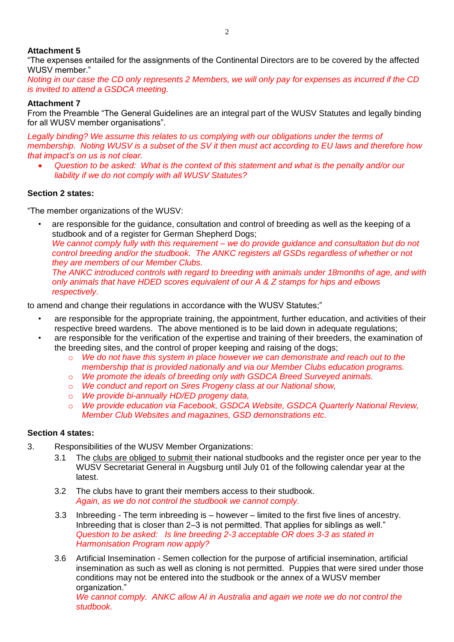## **Attachment 5**

"The expenses entailed for the assignments of the Continental Directors are to be covered by the affected WUSV member."

*Noting in our case the CD only represents 2 Members, we will only pay for expenses as incurred if the CD is invited to attend a GSDCA meeting.*

# **Attachment 7**

From the Preamble "The General Guidelines are an integral part of the WUSV Statutes and legally binding for all WUSV member organisations".

*Legally binding? We assume this relates to us complying with our obligations under the terms of membership. Noting WUSV is a subset of the SV it then must act according to EU laws and therefore how that impact's on us is not clear.* 

 *Question to be asked: What is the context of this statement and what is the penalty and/or our liability if we do not comply with all WUSV Statutes?*

# **Section 2 states:**

"The member organizations of the WUSV:

• are responsible for the guidance, consultation and control of breeding as well as the keeping of a studbook and of a register for German Shepherd Dogs; *We cannot comply fully with this requirement – we do provide guidance and consultation but do not control breeding and/or the studbook. The ANKC registers all GSDs regardless of whether or not they are members of our Member Clubs. The ANKC introduced controls with regard to breeding with animals under 18months of age, and with only animals that have HDED scores equivalent of our A & Z stamps for hips and elbows respectively.*

to amend and change their regulations in accordance with the WUSV Statutes;"

- are responsible for the appropriate training, the appointment, further education, and activities of their respective breed wardens. The above mentioned is to be laid down in adequate regulations;
- are responsible for the verification of the expertise and training of their breeders, the examination of the breeding sites, and the control of proper keeping and raising of the dogs;
	- o *We do not have this system in place however we can demonstrate and reach out to the membership that is provided nationally and via our Member Clubs education programs.*
	- o *We promote the ideals of breeding only with GSDCA Breed Surveyed animals.*
	- o *We conduct and report on Sires Progeny class at our National show,*
	- o *We provide bi-annually HD/ED progeny data,*
	- o *We provide education via Facebook, GSDCA Website, GSDCA Quarterly National Review, Member Club Websites and magazines, GSD demonstrations etc.*

## **Section 4 states:**

- 3. Responsibilities of the WUSV Member Organizations:
	- 3.1 The clubs are obliged to submit their national studbooks and the register once per year to the WUSV Secretariat General in Augsburg until July 01 of the following calendar year at the latest.
	- 3.2 The clubs have to grant their members access to their studbook. *Again, as we do not control the studbook we cannot comply.*
	- 3.3 Inbreeding The term inbreeding is however limited to the first five lines of ancestry. Inbreeding that is closer than 2–3 is not permitted. That applies for siblings as well." *Question to be asked: Is line breeding 2-3 acceptable OR does 3-3 as stated in Harmonisation Program now apply?*
	- 3.6 Artificial Insemination Semen collection for the purpose of artificial insemination, artificial insemination as such as well as cloning is not permitted. Puppies that were sired under those conditions may not be entered into the studbook or the annex of a WUSV member organization." *We cannot comply. ANKC allow AI in Australia and again we note we do not control the studbook.*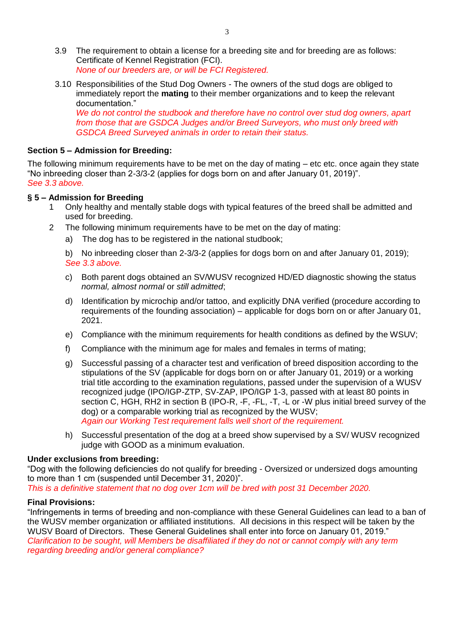- 3.9 The requirement to obtain a license for a breeding site and for breeding are as follows: Certificate of Kennel Registration (FCI). *None of our breeders are, or will be FCI Registered.*
- 3.10 Responsibilities of the Stud Dog Owners The owners of the stud dogs are obliged to immediately report the **mating** to their member organizations and to keep the relevant documentation."

*We do not control the studbook and therefore have no control over stud dog owners, apart from those that are GSDCA Judges and/or Breed Surveyors, who must only breed with GSDCA Breed Surveyed animals in order to retain their status.*

#### **Section 5 – Admission for Breeding:**

The following minimum requirements have to be met on the day of mating – etc etc. once again they state "No inbreeding closer than 2-3/3-2 (applies for dogs born on and after January 01, 2019)". *See 3.3 above.*

#### **§ 5 – Admission for Breeding**

- 1 Only healthy and mentally stable dogs with typical features of the breed shall be admitted and used for breeding.
- 2 The following minimum requirements have to be met on the day of mating:
	- a) The dog has to be registered in the national studbook;

b) No inbreeding closer than 2-3/3-2 (applies for dogs born on and after January 01, 2019); *See 3.3 above.*

- c) Both parent dogs obtained an SV/WUSV recognized HD/ED diagnostic showing the status *normal, almost normal* or *still admitted*;
- d) Identification by microchip and/or tattoo, and explicitly DNA verified (procedure according to requirements of the founding association) – applicable for dogs born on or after January 01, 2021.
- e) Compliance with the minimum requirements for health conditions as defined by the WSUV;
- f) Compliance with the minimum age for males and females in terms of mating;
- g) Successful passing of a character test and verification of breed disposition according to the stipulations of the SV (applicable for dogs born on or after January 01, 2019) or a working trial title according to the examination regulations, passed under the supervision of a WUSV recognized judge (IPO/IGP-ZTP, SV-ZAP, IPO/IGP 1-3, passed with at least 80 points in section C, HGH, RH2 in section B (IPO-R, -F, -FL, -T, -L or -W plus initial breed survey of the dog) or a comparable working trial as recognized by the WUSV; *Again our Working Test requirement falls well short of the requirement.*
- h) Successful presentation of the dog at a breed show supervised by a SV/ WUSV recognized judge with GOOD as a minimum evaluation.

#### **Under exclusions from breeding:**

"Dog with the following deficiencies do not qualify for breeding - Oversized or undersized dogs amounting to more than 1 cm (suspended until December 31, 2020)".

*This is a definitive statement that no dog over 1cm will be bred with post 31 December 2020.*

#### **Final Provisions:**

"Infringements in terms of breeding and non-compliance with these General Guidelines can lead to a ban of the WUSV member organization or affiliated institutions. All decisions in this respect will be taken by the WUSV Board of Directors. These General Guidelines shall enter into force on January 01, 2019." *Clarification to be sought, will Members be disaffiliated if they do not or cannot comply with any term regarding breeding and/or general compliance?*